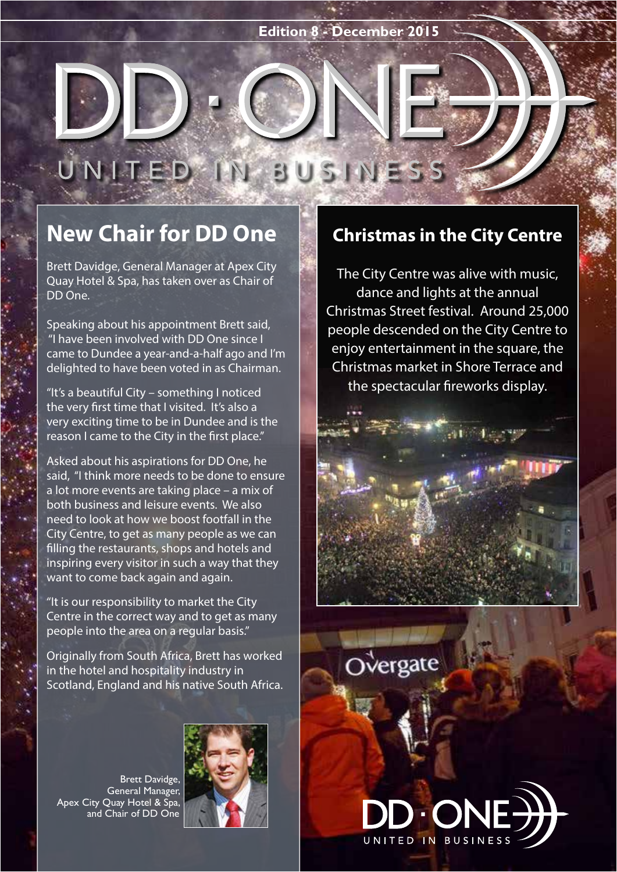V BUSINESS

### **New Chair for DD One**

UNITED

Brett Davidge, General Manager at Apex City Quay Hotel & Spa, has taken over as Chair of DD One.

Speaking about his appointment Brett said, ''I have been involved with DD One since I came to Dundee a year-and-a-half ago and I'm delighted to have been voted in as Chairman.

''It's a beautiful City – something I noticed the very first time that I visited. It's also a very exciting time to be in Dundee and is the reason I came to the City in the first place.''

Asked about his aspirations for DD One, he said, ''I think more needs to be done to ensure a lot more events are taking place – a mix of both business and leisure events. We also need to look at how we boost footfall in the City Centre, to get as many people as we can filling the restaurants, shops and hotels and inspiring every visitor in such a way that they want to come back again and again.

''It is our responsibility to market the City Centre in the correct way and to get as many people into the area on a regular basis.''

Originally from South Africa, Brett has worked in the hotel and hospitality industry in Scotland, England and his native South Africa.

Brett Davidge, General Manager, Apex City Quay Hotel & Spa, and Chair of DD One



#### **Christmas in the City Centre**

The City Centre was alive with music, dance and lights at the annual Christmas Street festival. Around 25,000 people descended on the City Centre to enjoy entertainment in the square, the Christmas market in Shore Terrace and the spectacular fireworks display.



**Vergate** 

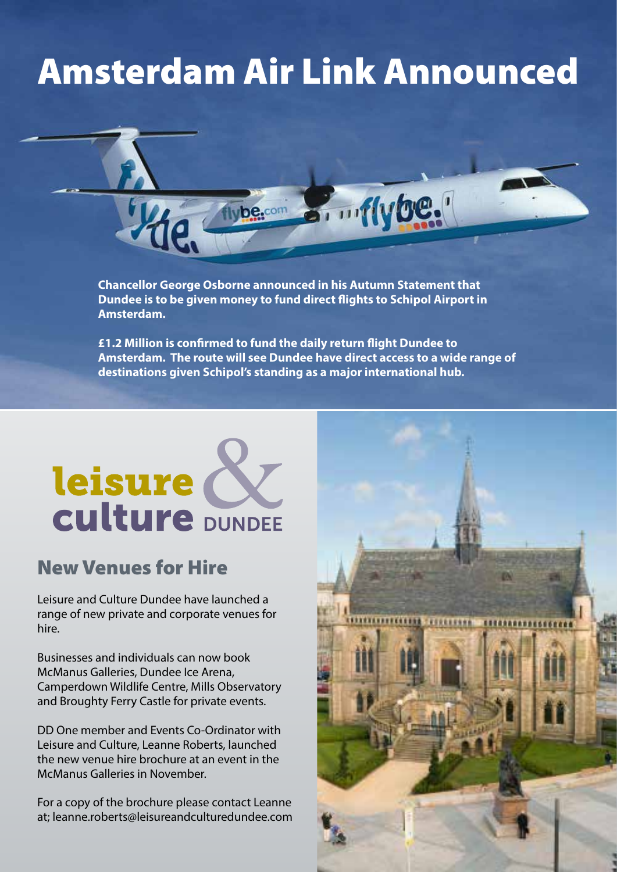## Amsterdam Air Link Announced

**A** ... flybe.

**Chancellor George Osborne announced in his Autumn Statement that Dundee is to be given money to fund direct flights to Schipol Airport in Amsterdam.**

ybe.com

**£1.2 Million is confirmed to fund the daily return flight Dundee to Amsterdam. The route will see Dundee have direct access to a wide range of destinations given Schipol's standing as a major international hub.**

# leisure N

#### New Venues for Hire

Leisure and Culture Dundee have launched a range of new private and corporate venues for hire.

Businesses and individuals can now book McManus Galleries, Dundee Ice Arena, Camperdown Wildlife Centre, Mills Observatory and Broughty Ferry Castle for private events.

DD One member and Events Co-Ordinator with Leisure and Culture, Leanne Roberts, launched the new venue hire brochure at an event in the McManus Galleries in November.

For a copy of the brochure please contact Leanne at; leanne.roberts@leisureandculturedundee.com

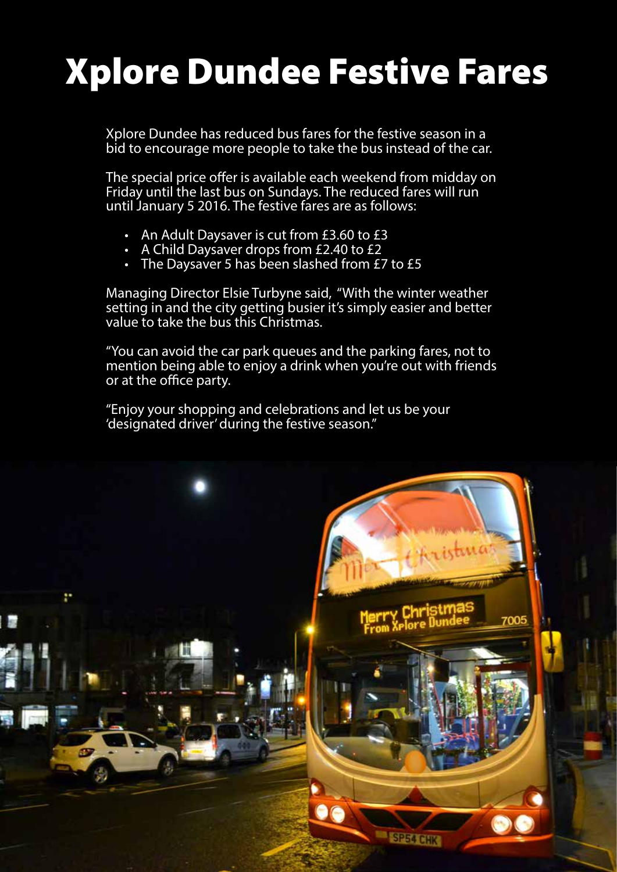# Xplore Dundee Festive Fares

Xplore Dundee has reduced bus fares for the festive season in a bid to encourage more people to take the bus instead of the car.

The special price offer is available each weekend from midday on Friday until the last bus on Sundays. The reduced fares will run until January 5 2016. The festive fares are as follows:

- An Adult Daysaver is cut from £3.60 to £3
- A Child Daysaver drops from £2.40 to £2
- The Daysaver 5 has been slashed from £7 to £5

Managing Director Elsie Turbyne said, "With the winter weather setting in and the city getting busier it's simply easier and better value to take the bus this Christmas.

"You can avoid the car park queues and the parking fares, not to mention being able to enjoy a drink when you're out with friends or at the office party.

"Enjoy your shopping and celebrations and let us be your 'designated driver' during the festive season."

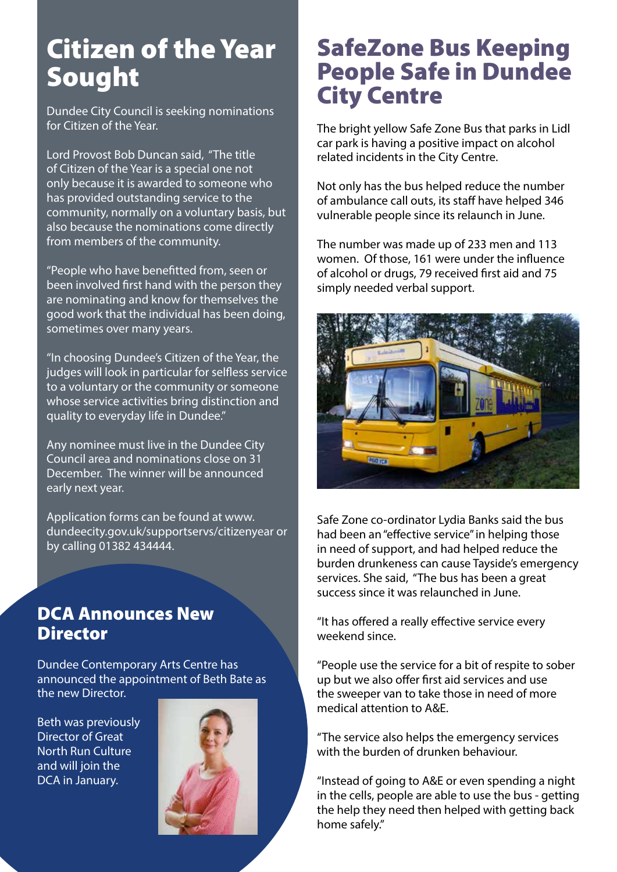## Citizen of the Year Sought

Dundee City Council is seeking nominations for Citizen of the Year.

Lord Provost Bob Duncan said, ''The title of Citizen of the Year is a special one not only because it is awarded to someone who has provided outstanding service to the community, normally on a voluntary basis, but also because the nominations come directly from members of the community.

''People who have benefitted from, seen or been involved first hand with the person they are nominating and know for themselves the good work that the individual has been doing, sometimes over many years.

''In choosing Dundee's Citizen of the Year, the judges will look in particular for selfless service to a voluntary or the community or someone whose service activities bring distinction and quality to everyday life in Dundee.''

Any nominee must live in the Dundee City Council area and nominations close on 31 December. The winner will be announced early next year.

Application forms can be found at www. dundeecity.gov.uk/supportservs/citizenyear or by calling 01382 434444.

#### DCA Announces New **Director**

Dundee Contemporary Arts Centre has announced the appointment of Beth Bate as the new Director.

Beth was previously Director of Great North Run Culture and will join the DCA in January.



### SafeZone Bus Keeping People Safe in Dundee City Centre

The bright yellow Safe Zone Bus that parks in Lidl car park is having a positive impact on alcohol related incidents in the City Centre.

Not only has the bus helped reduce the number of ambulance call outs, its staff have helped 346 vulnerable people since its relaunch in June.

The number was made up of 233 men and 113 women. Of those, 161 were under the influence of alcohol or drugs, 79 received first aid and 75 simply needed verbal support.



Safe Zone co-ordinator Lydia Banks said the bus had been an "effective service" in helping those in need of support, and had helped reduce the burden drunkeness can cause Tayside's emergency services. She said, "The bus has been a great success since it was relaunched in June.

"It has offered a really effective service every weekend since.

"People use the service for a bit of respite to sober up but we also offer first aid services and use the sweeper van to take those in need of more medical attention to A&E.

"The service also helps the emergency services with the burden of drunken behaviour.

"Instead of going to A&E or even spending a night in the cells, people are able to use the bus - getting the help they need then helped with getting back home safely."